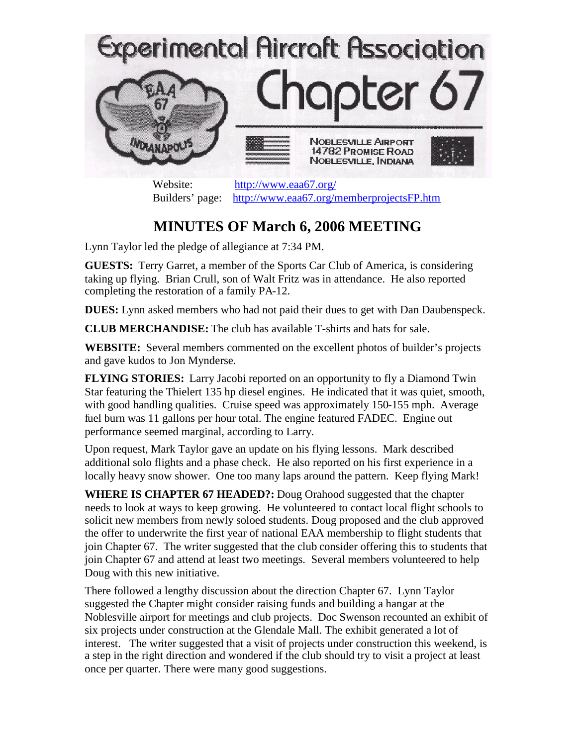

Website: <http://www.eaa67.org/> Builders' page: <http://www.eaa67.org/memberprojectsFP.htm>

## **MINUTES OF March 6, 2006 MEETING**

Lynn Taylor led the pledge of allegiance at 7:34 PM.

**GUESTS:** Terry Garret, a member of the Sports Car Club of America, is considering taking up flying. Brian Crull, son of Walt Fritz was in attendance. He also reported completing the restoration of a family PA-12.

**DUES:** Lynn asked members who had not paid their dues to get with Dan Daubenspeck.

**CLUB MERCHANDISE:** The club has available T-shirts and hats for sale.

**WEBSITE:** Several members commented on the excellent photos of builder's projects and gave kudos to Jon Mynderse.

**FLYING STORIES:** Larry Jacobi reported on an opportunity to fly a Diamond Twin Star featuring the Thielert 135 hp diesel engines. He indicated that it was quiet, smooth, with good handling qualities. Cruise speed was approximately 150-155 mph. Average fuel burn was 11 gallons per hour total. The engine featured FADEC. Engine out performance seemed marginal, according to Larry.

Upon request, Mark Taylor gave an update on his flying lessons. Mark described additional solo flights and a phase check. He also reported on his first experience in a locally heavy snow shower. One too many laps around the pattern. Keep flying Mark!

**WHERE IS CHAPTER 67 HEADED?:** Doug Orahood suggested that the chapter needs to look at ways to keep growing. He volunteered to contact local flight schools to solicit new members from newly soloed students. Doug proposed and the club approved the offer to underwrite the first year of national EAA membership to flight students that join Chapter 67. The writer suggested that the club consider offering this to students that join Chapter 67 and attend at least two meetings. Several members volunteered to help Doug with this new initiative.

There followed a lengthy discussion about the direction Chapter 67. Lynn Taylor suggested the Chapter might consider raising funds and building a hangar at the Noblesville airport for meetings and club projects. Doc Swenson recounted an exhibit of six projects under construction at the Glendale Mall. The exhibit generated a lot of interest. The writer suggested that a visit of projects under construction this weekend, is a step in the right direction and wondered if the club should try to visit a project at least once per quarter. There were many good suggestions.